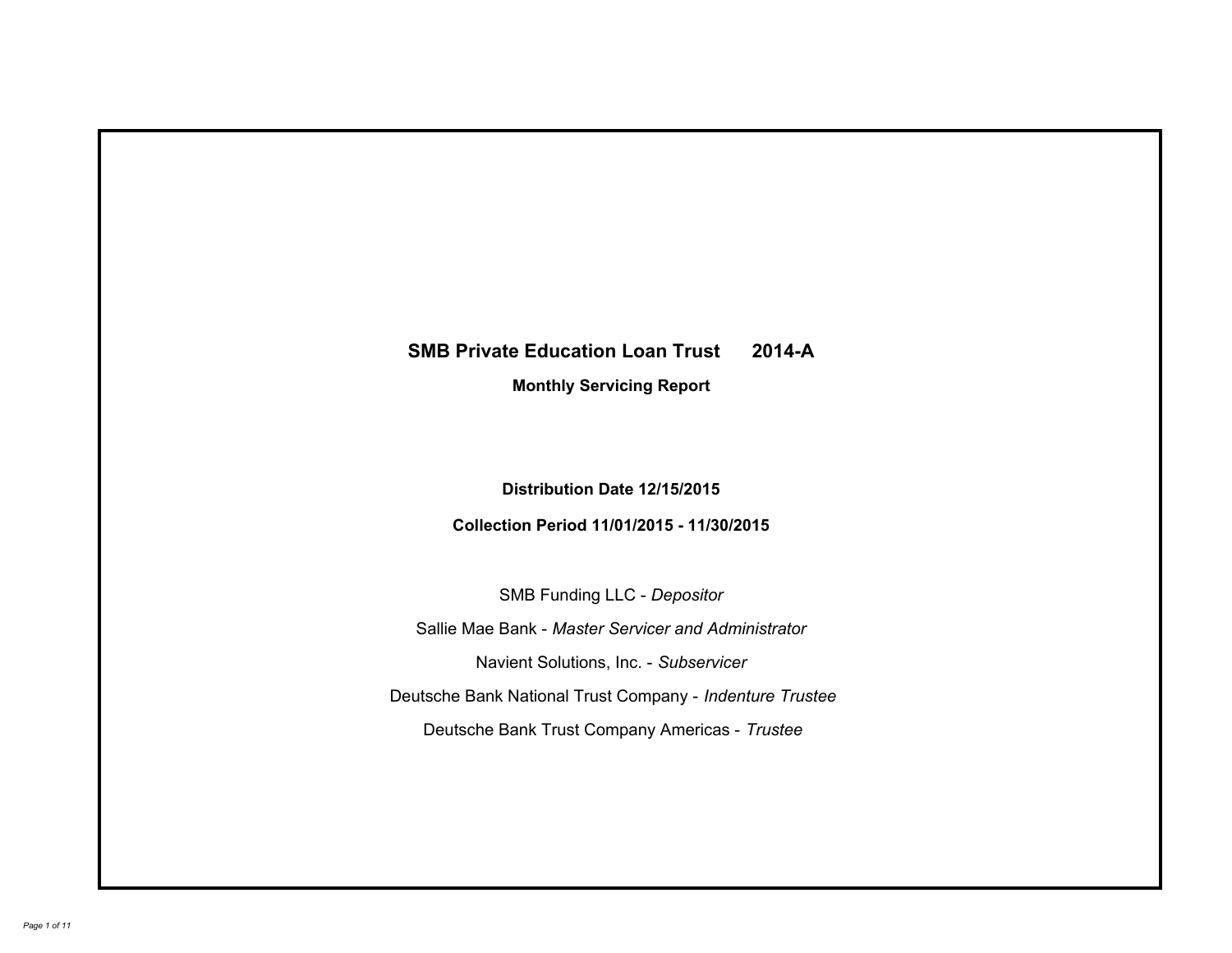# **SMB Private Education Loan Trust 2014-A Monthly Servicing Report**

## **Distribution Date 12/15/2015**

# **Collection Period 11/01/2015 - 11/30/2015**

SMB Funding LLC - *Depositor*

Sallie Mae Bank - *Master Servicer and Administrator*

Navient Solutions, Inc. - *Subservicer*

Deutsche Bank National Trust Company - *Indenture Trustee*

Deutsche Bank Trust Company Americas - *Trustee*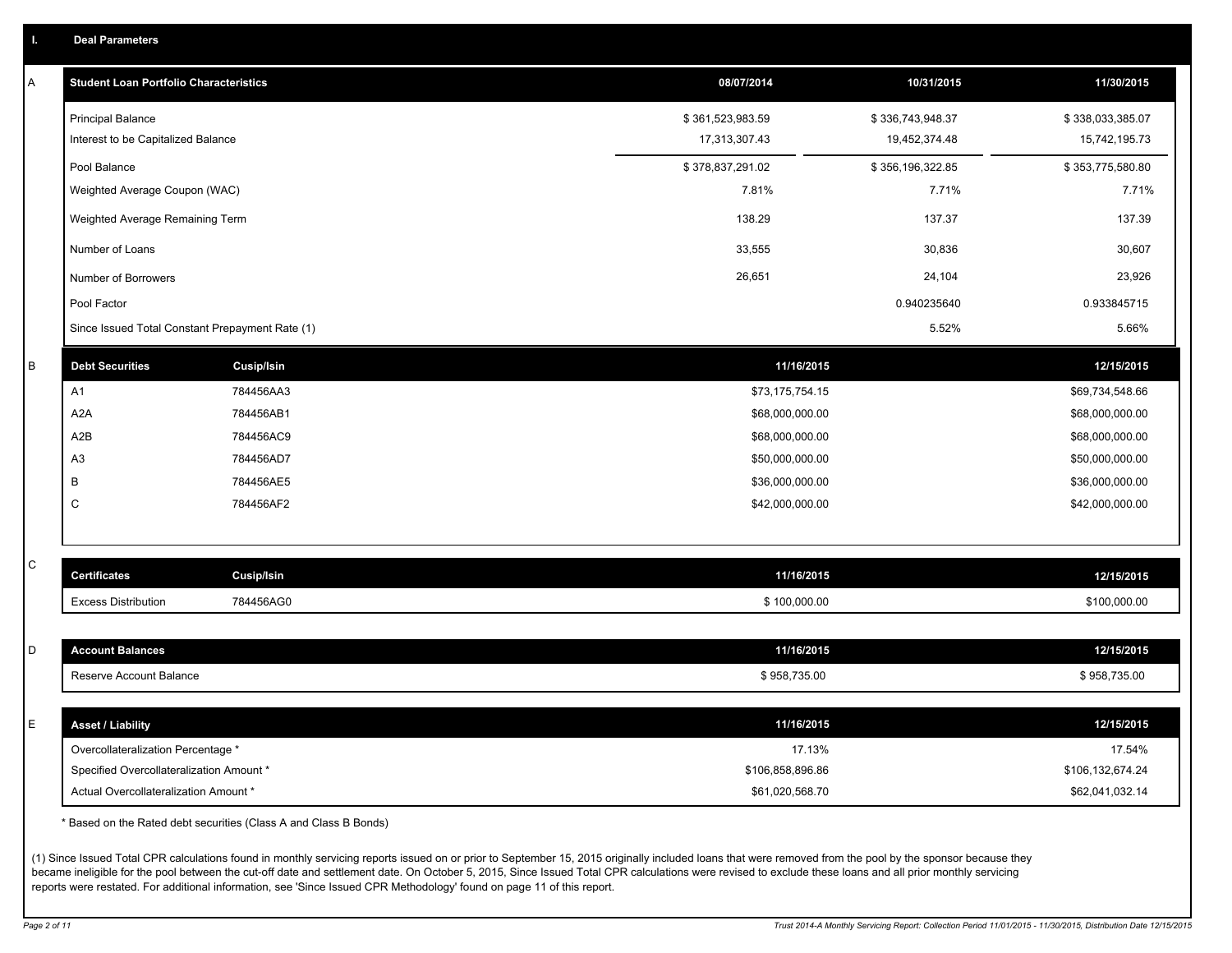|  |  |  | <b>Deal Parameters</b> |  |
|--|--|--|------------------------|--|
|--|--|--|------------------------|--|

| Α | <b>Student Loan Portfolio Characteristics</b>   |                   | 08/07/2014       | 10/31/2015       | 11/30/2015       |
|---|-------------------------------------------------|-------------------|------------------|------------------|------------------|
|   | <b>Principal Balance</b>                        |                   | \$361,523,983.59 | \$336,743,948.37 | \$338,033,385.07 |
|   | Interest to be Capitalized Balance              |                   | 17,313,307.43    | 19,452,374.48    | 15,742,195.73    |
|   | Pool Balance                                    |                   | \$378,837,291.02 | \$356,196,322.85 | \$353,775,580.80 |
|   | Weighted Average Coupon (WAC)                   |                   | 7.81%            | 7.71%            | 7.71%            |
|   | Weighted Average Remaining Term                 |                   | 138.29           | 137.37           | 137.39           |
|   | Number of Loans                                 |                   | 33,555           | 30,836           | 30,607           |
|   | Number of Borrowers                             |                   | 26,651           | 24,104           | 23,926           |
|   | Pool Factor                                     |                   |                  | 0.940235640      | 0.933845715      |
|   | Since Issued Total Constant Prepayment Rate (1) |                   |                  | 5.52%            | 5.66%            |
| B | <b>Debt Securities</b>                          | <b>Cusip/Isin</b> | 11/16/2015       |                  | 12/15/2015       |
|   | A1                                              | 784456AA3         | \$73,175,754.15  |                  | \$69,734,548.66  |
|   | A <sub>2</sub> A                                | 784456AB1         | \$68,000,000.00  |                  | \$68,000,000.00  |
|   | A <sub>2</sub> B                                | 784456AC9         | \$68,000,000.00  |                  | \$68,000,000.00  |
|   | A <sub>3</sub>                                  | 784456AD7         | \$50,000,000.00  |                  | \$50,000,000.00  |
|   | В                                               | 784456AE5         | \$36,000,000.00  |                  | \$36,000,000.00  |
|   | C                                               | 784456AF2         | \$42,000,000.00  |                  | \$42,000,000.00  |
|   |                                                 |                   |                  |                  |                  |
| С | <b>Certificates</b>                             | <b>Cusip/Isin</b> | 11/16/2015       |                  | 12/15/2015       |
|   | <b>Excess Distribution</b>                      | 784456AG0         | \$100,000.00     |                  | \$100,000.00     |
|   |                                                 |                   |                  |                  |                  |
| D | <b>Account Balances</b>                         |                   | 11/16/2015       |                  | 12/15/2015       |
|   | Reserve Account Balance                         |                   | \$958,735.00     |                  | \$958,735.00     |
|   |                                                 |                   |                  |                  |                  |
| E | <b>Asset / Liability</b>                        |                   | 11/16/2015       |                  | 12/15/2015       |
|   | Overcollateralization Percentage *              |                   | 17.13%           |                  | 17.54%           |
|   | Specified Overcollateralization Amount *        |                   | \$106,858,896.86 |                  | \$106,132,674.24 |
|   | Actual Overcollateralization Amount *           |                   | \$61,020,568.70  |                  | \$62,041,032.14  |

\* Based on the Rated debt securities (Class A and Class B Bonds)

(1) Since Issued Total CPR calculations found in monthly servicing reports issued on or prior to September 15, 2015 originally included loans that were removed from the pool by the sponsor because they became ineligible for the pool between the cut-off date and settlement date. On October 5, 2015, Since Issued Total CPR calculations were revised to exclude these loans and all prior monthly servicing reports were restated. For additional information, see 'Since Issued CPR Methodology' found on page 11 of this report.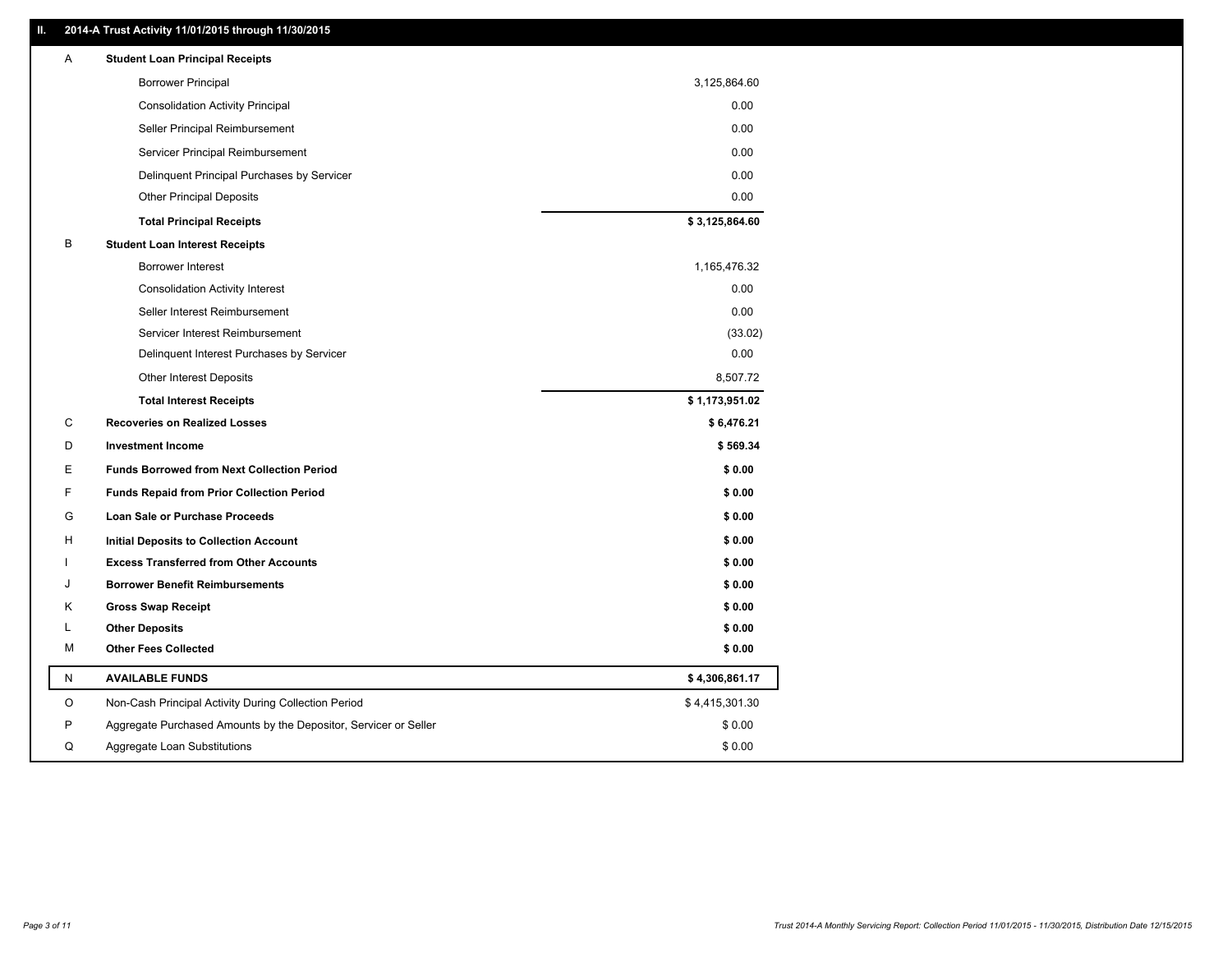### **II. 2014-A Trust Activity 11/01/2015 through 11/30/2015**

| Α            | <b>Student Loan Principal Receipts</b>                           |                |
|--------------|------------------------------------------------------------------|----------------|
|              | <b>Borrower Principal</b>                                        | 3,125,864.60   |
|              | <b>Consolidation Activity Principal</b>                          | 0.00           |
|              | Seller Principal Reimbursement                                   | 0.00           |
|              | Servicer Principal Reimbursement                                 | 0.00           |
|              | Delinquent Principal Purchases by Servicer                       | 0.00           |
|              | <b>Other Principal Deposits</b>                                  | 0.00           |
|              | <b>Total Principal Receipts</b>                                  | \$3,125,864.60 |
| В            | <b>Student Loan Interest Receipts</b>                            |                |
|              | <b>Borrower Interest</b>                                         | 1,165,476.32   |
|              | <b>Consolidation Activity Interest</b>                           | 0.00           |
|              | Seller Interest Reimbursement                                    | 0.00           |
|              | Servicer Interest Reimbursement                                  | (33.02)        |
|              | Delinquent Interest Purchases by Servicer                        | 0.00           |
|              | Other Interest Deposits                                          | 8,507.72       |
|              | <b>Total Interest Receipts</b>                                   | \$1,173,951.02 |
| С            | <b>Recoveries on Realized Losses</b>                             | \$6,476.21     |
| D            | <b>Investment Income</b>                                         | \$569.34       |
| Е            | <b>Funds Borrowed from Next Collection Period</b>                | \$0.00         |
| F            | <b>Funds Repaid from Prior Collection Period</b>                 | \$0.00         |
| G            | Loan Sale or Purchase Proceeds                                   | \$0.00         |
| н            | Initial Deposits to Collection Account                           | \$0.00         |
|              | <b>Excess Transferred from Other Accounts</b>                    | \$0.00         |
|              | <b>Borrower Benefit Reimbursements</b>                           | \$0.00         |
| Κ            | <b>Gross Swap Receipt</b>                                        | \$0.00         |
|              | <b>Other Deposits</b>                                            | \$0.00         |
| м            | <b>Other Fees Collected</b>                                      | \$0.00         |
| $\mathsf{N}$ | <b>AVAILABLE FUNDS</b>                                           | \$4,306,861.17 |
| $\circ$      | Non-Cash Principal Activity During Collection Period             | \$4,415,301.30 |
| P            | Aggregate Purchased Amounts by the Depositor, Servicer or Seller | \$0.00         |
| Q            | Aggregate Loan Substitutions                                     | \$0.00         |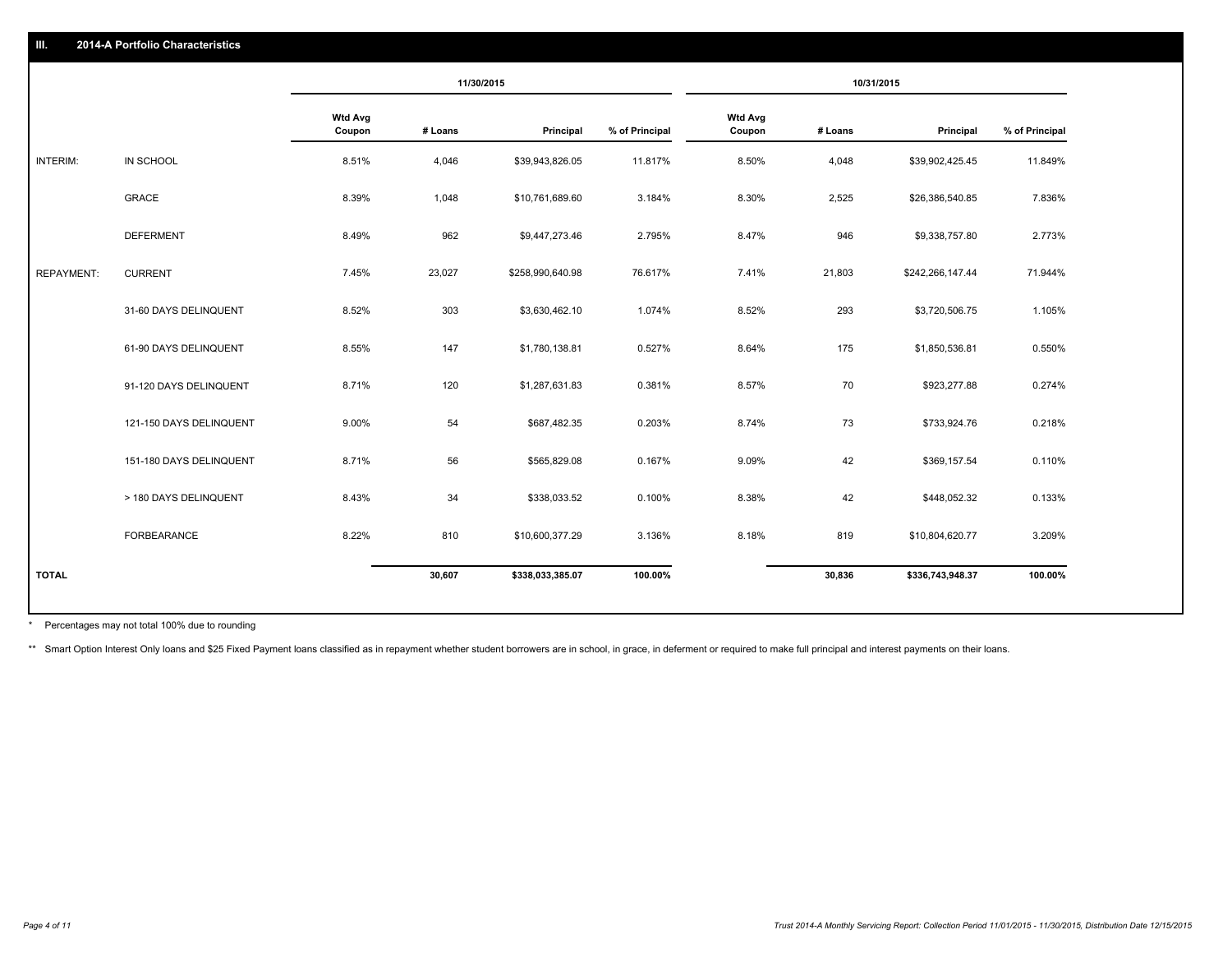|                   |                         | 11/30/2015               |         | 10/31/2015       |                |                          |         |                  |                |
|-------------------|-------------------------|--------------------------|---------|------------------|----------------|--------------------------|---------|------------------|----------------|
|                   |                         | <b>Wtd Avg</b><br>Coupon | # Loans | Principal        | % of Principal | <b>Wtd Avg</b><br>Coupon | # Loans | Principal        | % of Principal |
| INTERIM:          | IN SCHOOL               | 8.51%                    | 4,046   | \$39,943,826.05  | 11.817%        | 8.50%                    | 4,048   | \$39,902,425.45  | 11.849%        |
|                   | GRACE                   | 8.39%                    | 1,048   | \$10,761,689.60  | 3.184%         | 8.30%                    | 2,525   | \$26,386,540.85  | 7.836%         |
|                   | <b>DEFERMENT</b>        | 8.49%                    | 962     | \$9,447,273.46   | 2.795%         | 8.47%                    | 946     | \$9,338,757.80   | 2.773%         |
| <b>REPAYMENT:</b> | <b>CURRENT</b>          | 7.45%                    | 23,027  | \$258,990,640.98 | 76.617%        | 7.41%                    | 21,803  | \$242,266,147.44 | 71.944%        |
|                   | 31-60 DAYS DELINQUENT   | 8.52%                    | 303     | \$3,630,462.10   | 1.074%         | 8.52%                    | 293     | \$3,720,506.75   | 1.105%         |
|                   | 61-90 DAYS DELINQUENT   | 8.55%                    | 147     | \$1,780,138.81   | 0.527%         | 8.64%                    | 175     | \$1,850,536.81   | 0.550%         |
|                   | 91-120 DAYS DELINQUENT  | 8.71%                    | 120     | \$1,287,631.83   | 0.381%         | 8.57%                    | 70      | \$923,277.88     | 0.274%         |
|                   | 121-150 DAYS DELINQUENT | 9.00%                    | 54      | \$687,482.35     | 0.203%         | 8.74%                    | 73      | \$733,924.76     | 0.218%         |
|                   | 151-180 DAYS DELINQUENT | 8.71%                    | 56      | \$565,829.08     | 0.167%         | 9.09%                    | 42      | \$369,157.54     | 0.110%         |
|                   | > 180 DAYS DELINQUENT   | 8.43%                    | 34      | \$338,033.52     | 0.100%         | 8.38%                    | 42      | \$448,052.32     | 0.133%         |
|                   | FORBEARANCE             | 8.22%                    | 810     | \$10,600,377.29  | 3.136%         | 8.18%                    | 819     | \$10,804,620.77  | 3.209%         |
| <b>TOTAL</b>      |                         |                          | 30,607  | \$338,033,385.07 | 100.00%        |                          | 30,836  | \$336,743,948.37 | 100.00%        |

Percentages may not total 100% due to rounding \*

\*\* Smart Option Interest Only loans and \$25 Fixed Payment loans classified as in repayment whether student borrowers are in school, in grace, in deferment or required to make full principal and interest payments on their l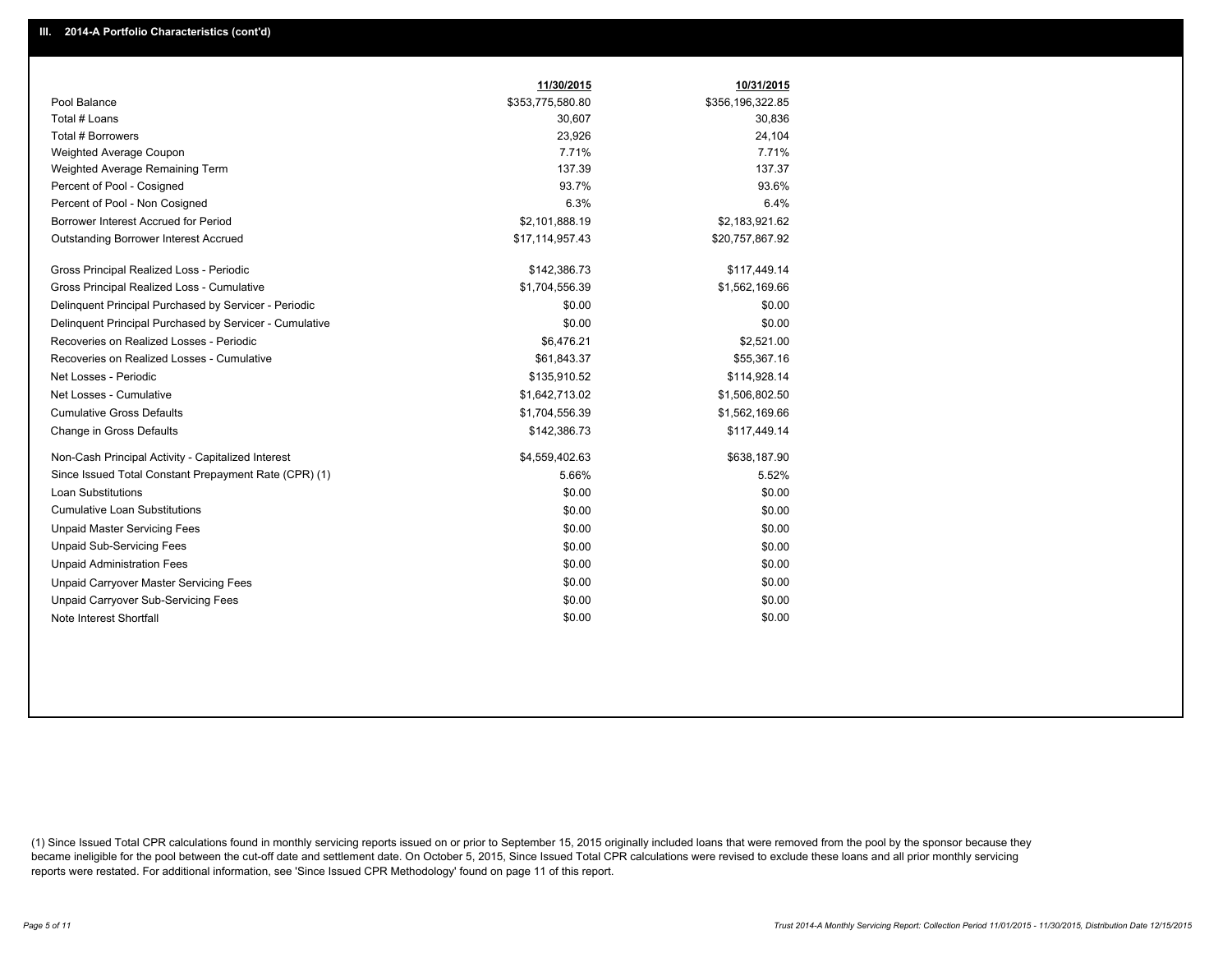|                                                         | 11/30/2015       | 10/31/2015       |
|---------------------------------------------------------|------------------|------------------|
| Pool Balance                                            | \$353,775,580.80 | \$356,196,322.85 |
| Total # Loans                                           | 30,607           | 30,836           |
| <b>Total # Borrowers</b>                                | 23,926           | 24.104           |
| Weighted Average Coupon                                 | 7.71%            | 7.71%            |
| Weighted Average Remaining Term                         | 137.39           | 137.37           |
| Percent of Pool - Cosigned                              | 93.7%            | 93.6%            |
| Percent of Pool - Non Cosigned                          | 6.3%             | 6.4%             |
| Borrower Interest Accrued for Period                    | \$2,101,888.19   | \$2,183,921.62   |
| Outstanding Borrower Interest Accrued                   | \$17,114,957.43  | \$20,757,867.92  |
| Gross Principal Realized Loss - Periodic                | \$142,386.73     | \$117,449.14     |
| Gross Principal Realized Loss - Cumulative              | \$1,704,556.39   | \$1,562,169.66   |
| Delinquent Principal Purchased by Servicer - Periodic   | \$0.00           | \$0.00           |
| Delinquent Principal Purchased by Servicer - Cumulative | \$0.00           | \$0.00           |
| Recoveries on Realized Losses - Periodic                | \$6,476.21       | \$2,521.00       |
| Recoveries on Realized Losses - Cumulative              | \$61,843.37      | \$55,367.16      |
| Net Losses - Periodic                                   | \$135,910.52     | \$114,928.14     |
| Net Losses - Cumulative                                 | \$1,642,713.02   | \$1,506,802.50   |
| <b>Cumulative Gross Defaults</b>                        | \$1,704,556.39   | \$1,562,169.66   |
| Change in Gross Defaults                                | \$142,386.73     | \$117,449.14     |
| Non-Cash Principal Activity - Capitalized Interest      | \$4,559,402.63   | \$638,187.90     |
| Since Issued Total Constant Prepayment Rate (CPR) (1)   | 5.66%            | 5.52%            |
| <b>Loan Substitutions</b>                               | \$0.00           | \$0.00           |
| <b>Cumulative Loan Substitutions</b>                    | \$0.00           | \$0.00           |
| <b>Unpaid Master Servicing Fees</b>                     | \$0.00           | \$0.00           |
| <b>Unpaid Sub-Servicing Fees</b>                        | \$0.00           | \$0.00           |
| <b>Unpaid Administration Fees</b>                       | \$0.00           | \$0.00           |
| Unpaid Carryover Master Servicing Fees                  | \$0.00           | \$0.00           |
| <b>Unpaid Carryover Sub-Servicing Fees</b>              | \$0.00           | \$0.00           |
| Note Interest Shortfall                                 | \$0.00           | \$0.00           |

(1) Since Issued Total CPR calculations found in monthly servicing reports issued on or prior to September 15, 2015 originally included loans that were removed from the pool by the sponsor because they became ineligible for the pool between the cut-off date and settlement date. On October 5, 2015, Since Issued Total CPR calculations were revised to exclude these loans and all prior monthly servicing reports were restated. For additional information, see 'Since Issued CPR Methodology' found on page 11 of this report.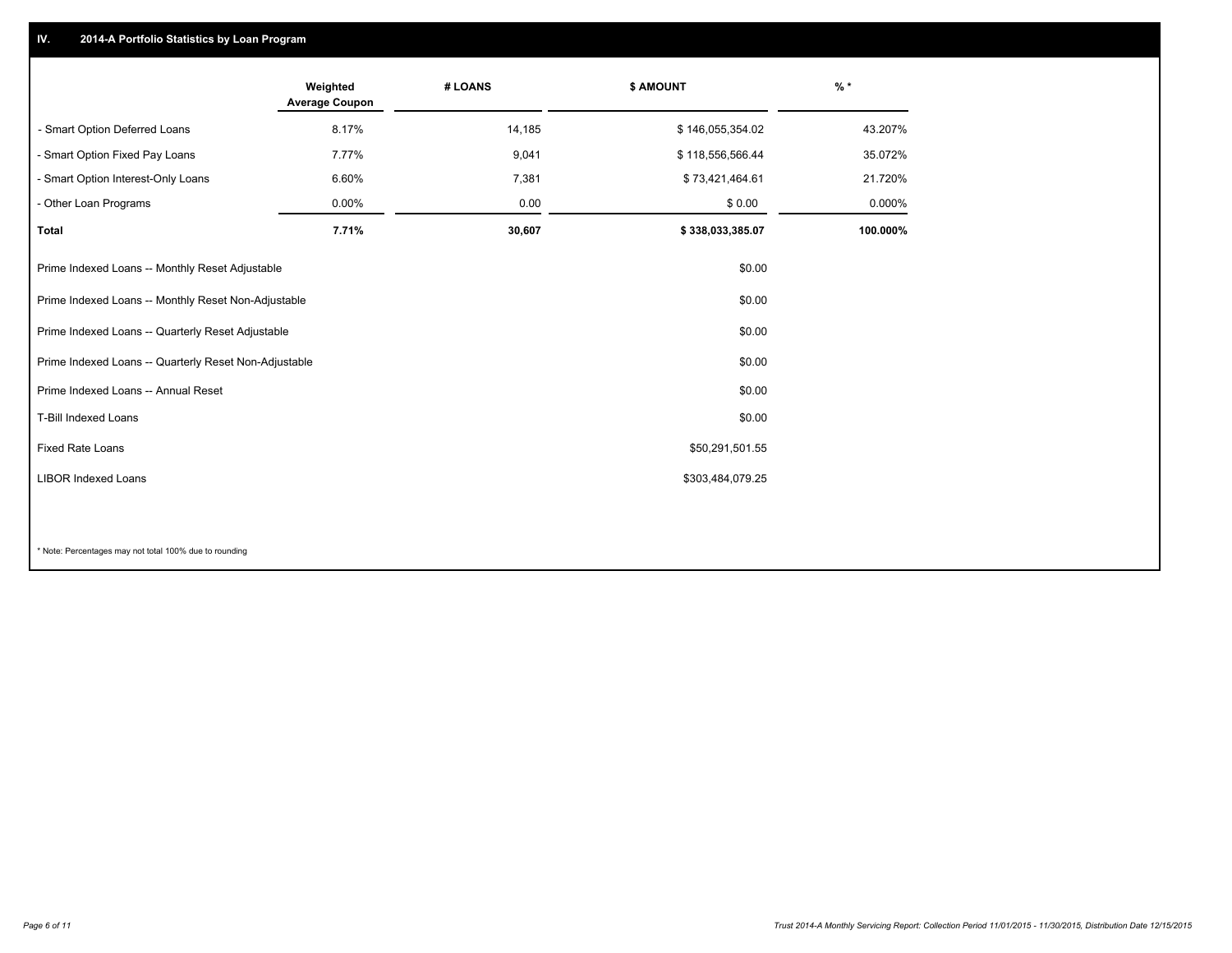## **IV. 2014-A Portfolio Statistics by Loan Program**

|                                                                 | Weighted<br><b>Average Coupon</b> | # LOANS | <b>\$ AMOUNT</b> | $%$ *    |
|-----------------------------------------------------------------|-----------------------------------|---------|------------------|----------|
| - Smart Option Deferred Loans                                   | 8.17%                             | 14,185  | \$146,055,354.02 | 43.207%  |
| - Smart Option Fixed Pay Loans                                  | 7.77%                             | 9,041   | \$118,556,566.44 | 35.072%  |
| - Smart Option Interest-Only Loans                              | 6.60%                             | 7,381   | \$73,421,464.61  | 21.720%  |
| - Other Loan Programs                                           | 0.00%                             | 0.00    | \$0.00           | 0.000%   |
| <b>Total</b>                                                    | 7.71%                             | 30,607  | \$338,033,385.07 | 100.000% |
| Prime Indexed Loans -- Monthly Reset Adjustable                 |                                   |         | \$0.00           |          |
| Prime Indexed Loans -- Monthly Reset Non-Adjustable             |                                   | \$0.00  |                  |          |
| \$0.00<br>Prime Indexed Loans -- Quarterly Reset Adjustable     |                                   |         |                  |          |
| Prime Indexed Loans -- Quarterly Reset Non-Adjustable<br>\$0.00 |                                   |         |                  |          |
| Prime Indexed Loans -- Annual Reset                             |                                   |         | \$0.00           |          |
| <b>T-Bill Indexed Loans</b>                                     |                                   |         | \$0.00           |          |
| <b>Fixed Rate Loans</b>                                         |                                   |         | \$50,291,501.55  |          |
| <b>LIBOR Indexed Loans</b>                                      |                                   |         | \$303,484,079.25 |          |
|                                                                 |                                   |         |                  |          |

\* Note: Percentages may not total 100% due to rounding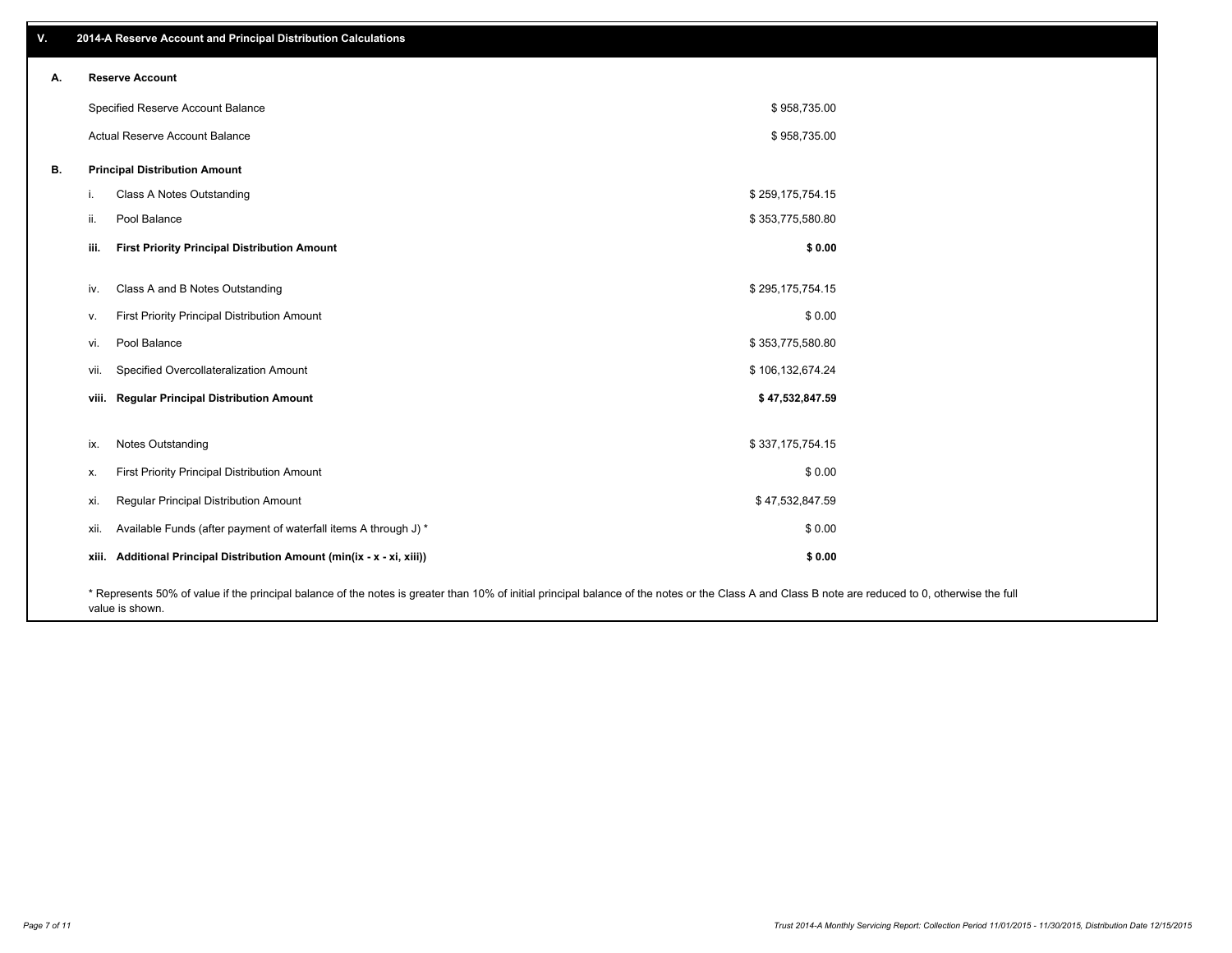| V. | 2014-A Reserve Account and Principal Distribution Calculations                                                                                                                                     |                  |  |
|----|----------------------------------------------------------------------------------------------------------------------------------------------------------------------------------------------------|------------------|--|
| А. | <b>Reserve Account</b>                                                                                                                                                                             |                  |  |
|    | Specified Reserve Account Balance                                                                                                                                                                  | \$958,735.00     |  |
|    | Actual Reserve Account Balance                                                                                                                                                                     | \$958,735.00     |  |
| В. | <b>Principal Distribution Amount</b>                                                                                                                                                               |                  |  |
|    | Class A Notes Outstanding<br>j.                                                                                                                                                                    | \$259,175,754.15 |  |
|    | Pool Balance<br>ii.                                                                                                                                                                                | \$353,775,580.80 |  |
|    | <b>First Priority Principal Distribution Amount</b><br>iii.                                                                                                                                        | \$0.00           |  |
|    | Class A and B Notes Outstanding<br>iv.                                                                                                                                                             | \$295,175,754.15 |  |
|    | First Priority Principal Distribution Amount<br>v.                                                                                                                                                 | \$0.00           |  |
|    | Pool Balance<br>vi.                                                                                                                                                                                | \$353,775,580.80 |  |
|    | Specified Overcollateralization Amount<br>vii.                                                                                                                                                     | \$106,132,674.24 |  |
|    | viii. Regular Principal Distribution Amount                                                                                                                                                        | \$47,532,847.59  |  |
|    |                                                                                                                                                                                                    |                  |  |
|    | <b>Notes Outstanding</b><br>ix.                                                                                                                                                                    | \$337,175,754.15 |  |
|    | First Priority Principal Distribution Amount<br>х.                                                                                                                                                 | \$0.00           |  |
|    | Regular Principal Distribution Amount<br>xi.                                                                                                                                                       | \$47,532,847.59  |  |
|    | Available Funds (after payment of waterfall items A through J) *<br>xii.                                                                                                                           | \$0.00           |  |
|    | xiii. Additional Principal Distribution Amount (min(ix - x - xi, xiii))                                                                                                                            | \$0.00           |  |
|    | * Represents 50% of value if the principal balance of the notes is greater than 10% of initial principal balance of the notes or the Class A and Class B note are reduced to 0, otherwise the full |                  |  |

value is shown.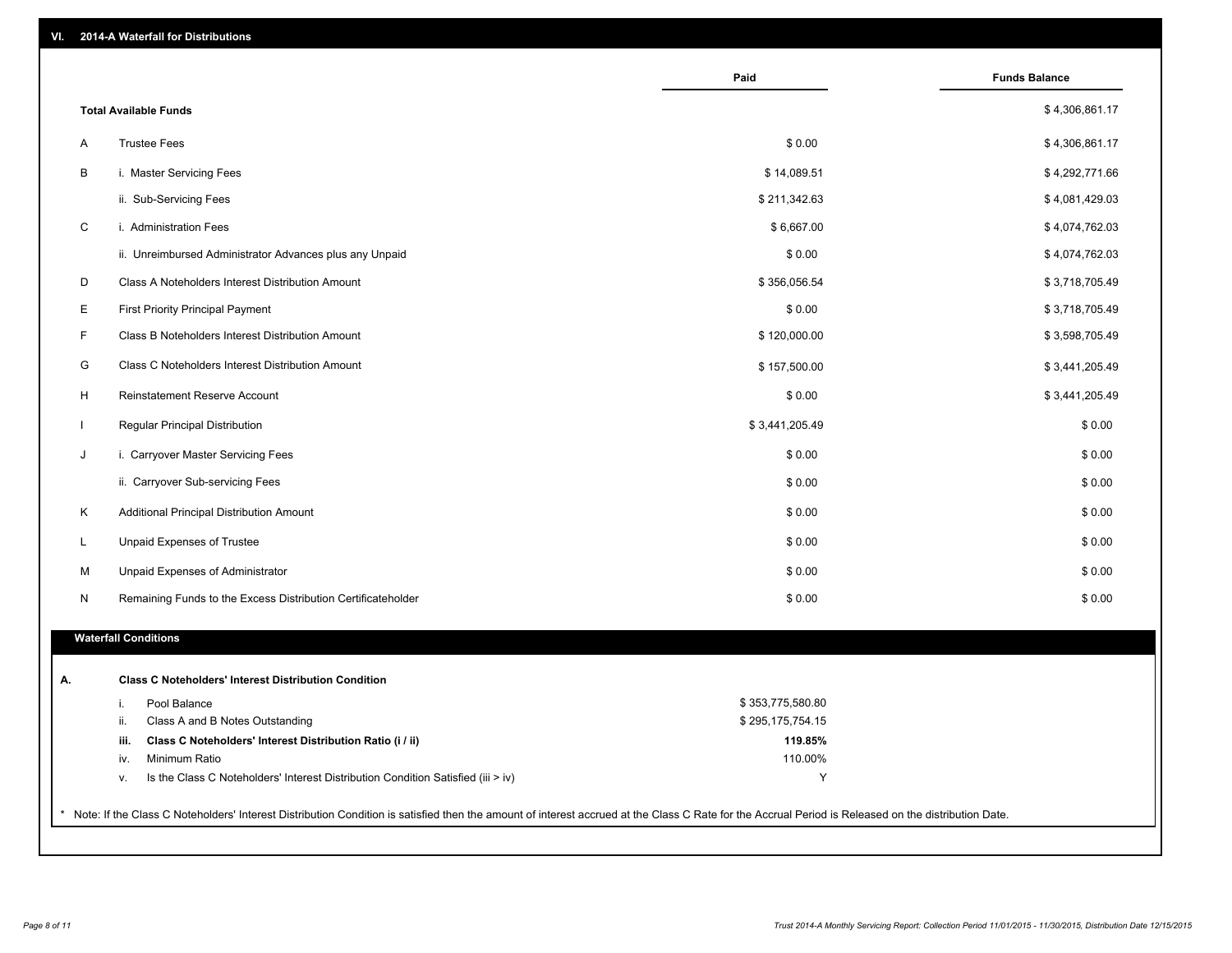| VI.<br><b>2014-A Waterfall for Distributions</b> |  |
|--------------------------------------------------|--|
|--------------------------------------------------|--|

|                                                                                        | Paid             | <b>Funds Balance</b> |
|----------------------------------------------------------------------------------------|------------------|----------------------|
| <b>Total Available Funds</b>                                                           |                  | \$4,306,861.17       |
| <b>Trustee Fees</b><br>Α                                                               | \$0.00           | \$4,306,861.17       |
| B<br>i. Master Servicing Fees                                                          | \$14,089.51      | \$4,292,771.66       |
| ii. Sub-Servicing Fees                                                                 | \$211,342.63     | \$4,081,429.03       |
| $\mathsf C$<br>i. Administration Fees                                                  | \$6,667.00       | \$4,074,762.03       |
| ii. Unreimbursed Administrator Advances plus any Unpaid                                | \$0.00           | \$4,074,762.03       |
| D<br>Class A Noteholders Interest Distribution Amount                                  | \$356,056.54     | \$3,718,705.49       |
| Ε<br><b>First Priority Principal Payment</b>                                           | \$0.00           | \$3,718,705.49       |
| F<br>Class B Noteholders Interest Distribution Amount                                  | \$120,000.00     | \$3,598,705.49       |
| G<br>Class C Noteholders Interest Distribution Amount                                  | \$157,500.00     | \$3,441,205.49       |
| H<br>Reinstatement Reserve Account                                                     | \$0.00           | \$3,441,205.49       |
| Regular Principal Distribution<br>$\mathbf{L}$                                         | \$3,441,205.49   | \$0.00               |
| J<br>i. Carryover Master Servicing Fees                                                | \$0.00           | \$0.00               |
| ii. Carryover Sub-servicing Fees                                                       | \$0.00           | \$0.00               |
| Κ<br>Additional Principal Distribution Amount                                          | \$0.00           | \$0.00               |
|                                                                                        |                  |                      |
| L<br>Unpaid Expenses of Trustee                                                        | \$0.00           | \$0.00               |
| M<br>Unpaid Expenses of Administrator                                                  | \$0.00           | \$0.00               |
| Remaining Funds to the Excess Distribution Certificateholder<br>N                      | \$0.00           | \$0.00               |
| <b>Waterfall Conditions</b>                                                            |                  |                      |
| <b>Class C Noteholders' Interest Distribution Condition</b>                            |                  |                      |
| Pool Balance<br>i.                                                                     | \$353,775,580.80 |                      |
| ii.<br>Class A and B Notes Outstanding                                                 | \$295,175,754.15 |                      |
| Class C Noteholders' Interest Distribution Ratio (i / ii)<br>iii.                      | 119.85%          |                      |
| Minimum Ratio<br>iv.                                                                   | 110.00%          |                      |
| Is the Class C Noteholders' Interest Distribution Condition Satisfied (iii > iv)<br>v. | Y                |                      |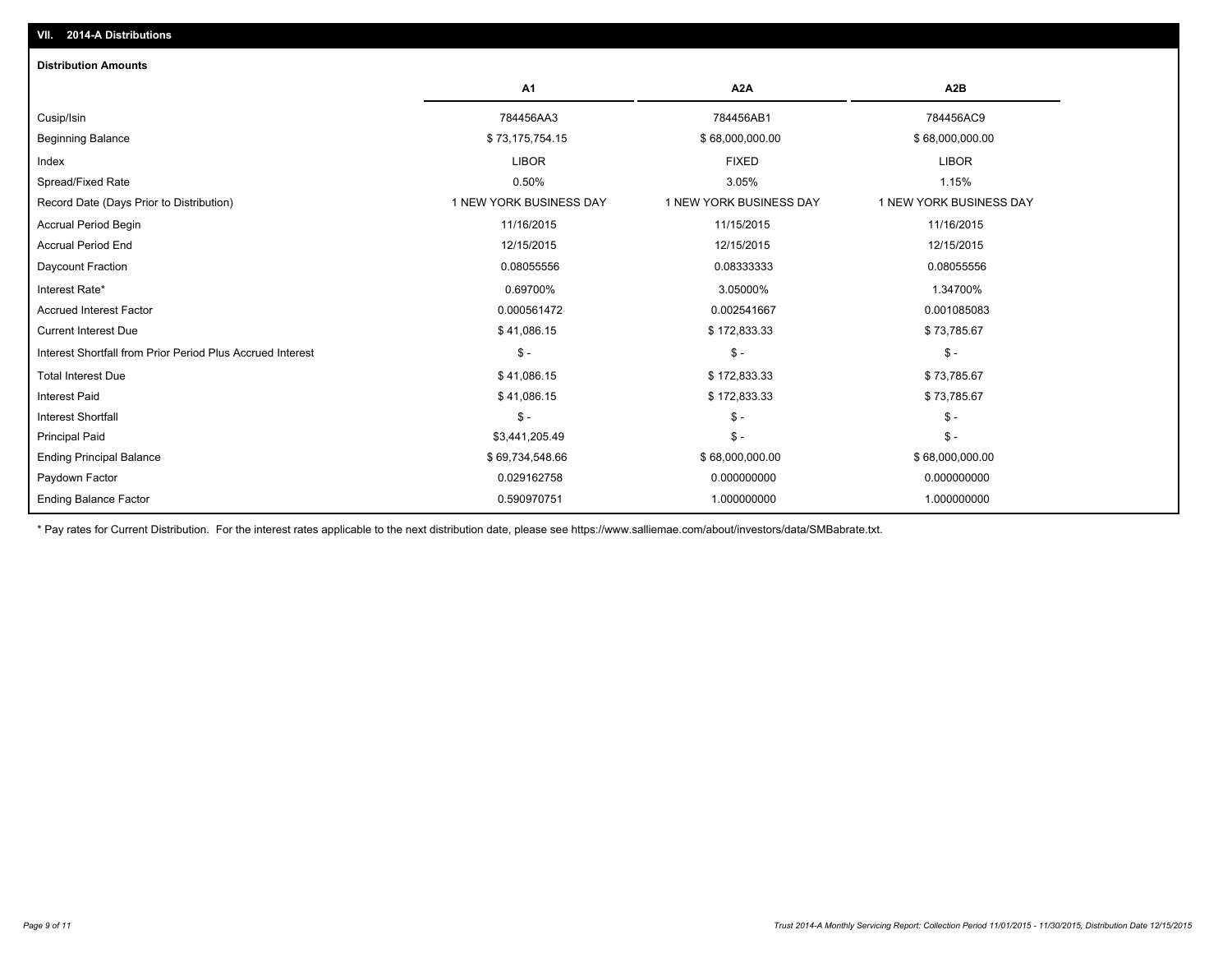| <b>Distribution Amounts</b>                                |                         |                         |                         |  |  |
|------------------------------------------------------------|-------------------------|-------------------------|-------------------------|--|--|
|                                                            | A1                      | A <sub>2</sub> A        | A <sub>2</sub> B        |  |  |
| Cusip/Isin                                                 | 784456AA3               | 784456AB1               | 784456AC9               |  |  |
| <b>Beginning Balance</b>                                   | \$73,175,754.15         | \$68,000,000.00         | \$68,000,000.00         |  |  |
| Index                                                      | <b>LIBOR</b>            | <b>FIXED</b>            | <b>LIBOR</b>            |  |  |
| Spread/Fixed Rate                                          | 0.50%                   | 3.05%                   | 1.15%                   |  |  |
| Record Date (Days Prior to Distribution)                   | 1 NEW YORK BUSINESS DAY | 1 NEW YORK BUSINESS DAY | 1 NEW YORK BUSINESS DAY |  |  |
| <b>Accrual Period Begin</b>                                | 11/16/2015              | 11/15/2015              | 11/16/2015              |  |  |
| <b>Accrual Period End</b>                                  | 12/15/2015              | 12/15/2015              | 12/15/2015              |  |  |
| <b>Daycount Fraction</b>                                   | 0.08055556              | 0.08333333              | 0.08055556              |  |  |
| Interest Rate*                                             | 0.69700%                | 3.05000%                | 1.34700%                |  |  |
| <b>Accrued Interest Factor</b>                             | 0.000561472             | 0.002541667             | 0.001085083             |  |  |
| <b>Current Interest Due</b>                                | \$41,086.15             | \$172,833.33            | \$73,785.67             |  |  |
| Interest Shortfall from Prior Period Plus Accrued Interest | $\mathsf{\$}$ -         | $\mathcal{S}$ -         | $\mathsf{\$}$ -         |  |  |
| <b>Total Interest Due</b>                                  | \$41,086.15             | \$172,833.33            | \$73,785.67             |  |  |
| <b>Interest Paid</b>                                       | \$41,086.15             | \$172,833.33            | \$73,785.67             |  |  |
| <b>Interest Shortfall</b>                                  | $S -$                   | $\mathcal{S}$ -         | $\mathsf{\$}$ -         |  |  |
| <b>Principal Paid</b>                                      | \$3,441,205.49          | $\mathbb{S}$ -          | $\mathsf{\$}$ -         |  |  |
| <b>Ending Principal Balance</b>                            | \$69,734,548.66         | \$68,000,000.00         | \$68,000,000.00         |  |  |
| Paydown Factor                                             | 0.029162758             | 0.000000000             | 0.000000000             |  |  |
| <b>Ending Balance Factor</b>                               | 0.590970751             | 1.000000000             | 1.000000000             |  |  |

\* Pay rates for Current Distribution. For the interest rates applicable to the next distribution date, please see https://www.salliemae.com/about/investors/data/SMBabrate.txt.

**VII. 2014-A Distributions**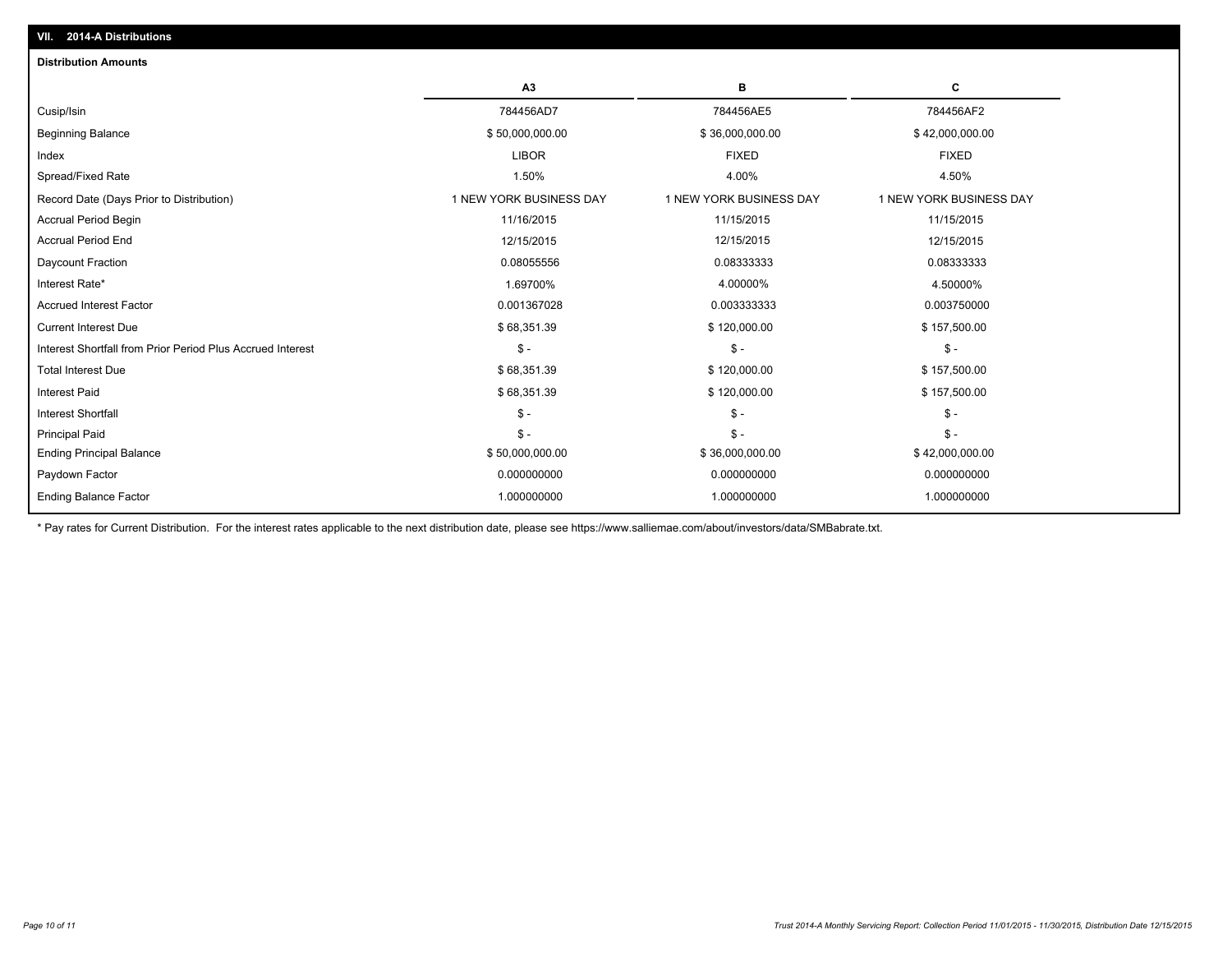| <b>Distribution Amounts</b>                                |                         |                         |                         |
|------------------------------------------------------------|-------------------------|-------------------------|-------------------------|
|                                                            | A3                      | в                       | С                       |
| Cusip/Isin                                                 | 784456AD7               | 784456AE5               | 784456AF2               |
| <b>Beginning Balance</b>                                   | \$50,000,000.00         | \$36,000,000.00         | \$42,000,000.00         |
| Index                                                      | <b>LIBOR</b>            | <b>FIXED</b>            | <b>FIXED</b>            |
| Spread/Fixed Rate                                          | 1.50%                   | 4.00%                   | 4.50%                   |
| Record Date (Days Prior to Distribution)                   | 1 NEW YORK BUSINESS DAY | 1 NEW YORK BUSINESS DAY | 1 NEW YORK BUSINESS DAY |
| <b>Accrual Period Begin</b>                                | 11/16/2015              | 11/15/2015              | 11/15/2015              |
| <b>Accrual Period End</b>                                  | 12/15/2015              | 12/15/2015              | 12/15/2015              |
| Daycount Fraction                                          | 0.08055556              | 0.08333333              | 0.08333333              |
| Interest Rate*                                             | 1.69700%                | 4.00000%                | 4.50000%                |
| <b>Accrued Interest Factor</b>                             | 0.001367028             | 0.003333333             | 0.003750000             |
| <b>Current Interest Due</b>                                | \$68,351.39             | \$120,000.00            | \$157,500.00            |
| Interest Shortfall from Prior Period Plus Accrued Interest | $$ -$                   | $\mathcal{S}$ -         | $\mathsf{\$}$ -         |
| <b>Total Interest Due</b>                                  | \$68,351.39             | \$120,000.00            | \$157,500.00            |
| <b>Interest Paid</b>                                       | \$68,351.39             | \$120,000.00            | \$157,500.00            |
| <b>Interest Shortfall</b>                                  | $S -$                   | $\mathsf{\$}$ -         | $\mathsf{\$}$ -         |
| <b>Principal Paid</b>                                      | $S -$                   | $\mathsf{\$}$ -         | $\mathsf{\$}$ -         |
| <b>Ending Principal Balance</b>                            | \$50,000,000.00         | \$36,000,000.00         | \$42,000,000.00         |
| Paydown Factor                                             | 0.000000000             | 0.000000000             | 0.000000000             |
| <b>Ending Balance Factor</b>                               | 1.000000000             | 1.000000000             | 1.000000000             |
|                                                            |                         |                         |                         |

\* Pay rates for Current Distribution. For the interest rates applicable to the next distribution date, please see https://www.salliemae.com/about/investors/data/SMBabrate.txt.

**VII. 2014-A Distributions**